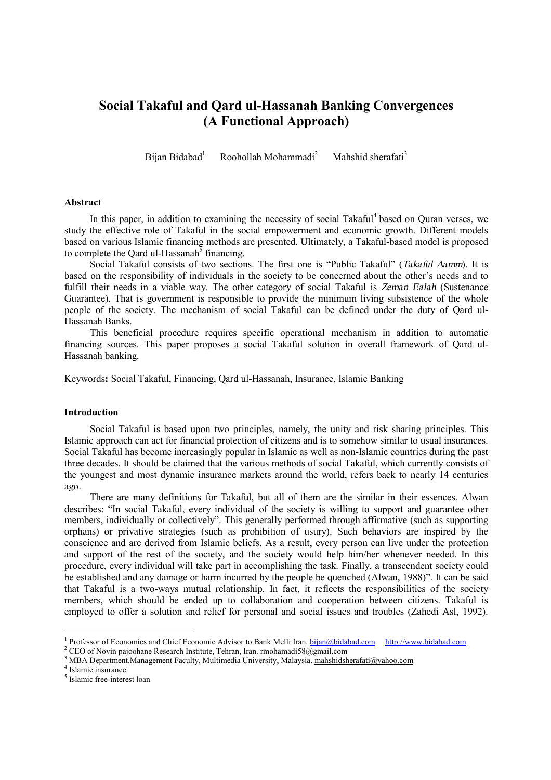# **Social Takaful and Qard ul-Hassanah Banking Convergences (A Functional Approach)**

Bijan Bidabad<sup>1</sup> Roohollah Mohammadi<sup>2</sup> Mahshid sherafati<sup>3</sup>

#### **Abstract**

In this paper, in addition to examining the necessity of social Takaful<sup>4</sup> based on Quran verses, we study the effective role of Takaful in the social empowerment and economic growth. Different models based on various Islamic financing methods are presented. Ultimately, a Takaful-based model is proposed to complete the Qard ul-Hassanah<sup>5</sup> financing.

Social Takaful consists of two sections. The first one is "Public Takaful" (*Takaful Aamm*). It is based on the responsibility of individuals in the society to be concerned about the other's needs and to fulfill their needs in a viable way. The other category of social Takaful is *Zeman Ealah* (Sustenance Guarantee). That is government is responsible to provide the minimum living subsistence of the whole people of the society. The mechanism of social Takaful can be defined under the duty of Qard ul-Hassanah Banks.

This beneficial procedure requires specific operational mechanism in addition to automatic financing sources. This paper proposes a social Takaful solution in overall framework of Qard ul-Hassanah banking.

Keywords**:** Social Takaful, Financing, Qard ul-Hassanah, Insurance, Islamic Banking

## **Introduction**

Social Takaful is based upon two principles, namely, the unity and risk sharing principles. This Islamic approach can act for financial protection of citizens and is to somehow similar to usual insurances. Social Takaful has become increasingly popular in Islamic as well as non-Islamic countries during the past three decades. It should be claimed that the various methods of social Takaful, which currently consists of the youngest and most dynamic insurance markets around the world, refers back to nearly 14 centuries ago.

There are many definitions for Takaful, but all of them are the similar in their essences. Alwan describes: "In social Takaful, every individual of the society is willing to support and guarantee other members, individually or collectively". This generally performed through affirmative (such as supporting orphans) or privative strategies (such as prohibition of usury). Such behaviors are inspired by the conscience and are derived from Islamic beliefs. As a result, every person can live under the protection and support of the rest of the society, and the society would help him/her whenever needed. In this procedure, every individual will take part in accomplishing the task. Finally, a transcendent society could be established and any damage or harm incurred by the people be quenched (Alwan, 1988)". It can be said that Takaful is a two-ways mutual relationship. In fact, it reflects the responsibilities of the society members, which should be ended up to collaboration and cooperation between citizens. Takaful is employed to offer a solution and relief for personal and social issues and troubles (Zahedi Asl, 1992).

<sup>&</sup>lt;sup>1</sup> Professor of Economics and Chief Economic Advisor to Bank Melli Iran. **[bijan@bidabad.com](mailto:bijan@bidabad.com)** <http://www.bidabad.com>

<sup>&</sup>lt;sup>2</sup> CEO of Novin pajoohane Research Institute, Tehran, Iran. [rmohamadi58@gmail.com](mailto:rmohamadi58@gmail.com)

<sup>3</sup> MBA Department.Management Faculty, Multimedia University, Malaysia. [mahshidsherafati@yahoo.com](mailto:mahshidsherafati@yahoo.com)

<sup>4</sup> Islamic insurance

<sup>5</sup> Islamic free-interest loan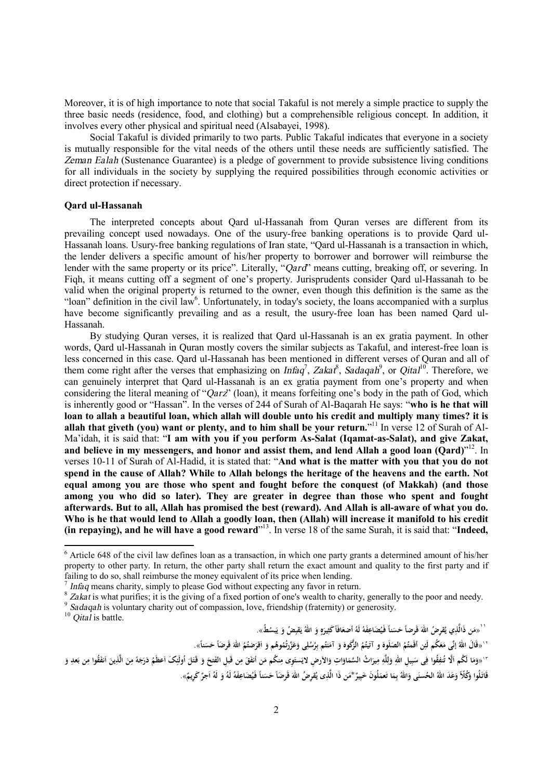Moreover, it is of high importance to note that social Takaful is not merely a simple practice to supply the three basic needs (residence, food, and clothing) but a comprehensible religious concept. In addition, it involves every other physical and spiritual need (Alsabayei, 1998).

Social Takaful is divided primarily to two parts. Public Takaful indicates that everyone in a society is mutually responsible for the vital needs of the others until these needs are sufficiently satisfied. The *Zeman Ealah* (Sustenance Guarantee) is a pledge of government to provide subsistence living conditions for all individuals in the society by supplying the required possibilities through economic activities or direct protection if necessary.

## **Qard ul-Hassanah**

The interpreted concepts about Qard ul-Hassanah from Quran verses are different from its prevailing concept used nowadays. One of the usury-free banking operations is to provide Qard ul-Hassanah loans. Usury-free banking regulations of Iran state, "Qard ul-Hassanah is a transaction in which, the lender delivers a specific amount of his/her property to borrower and borrower will reimburse the lender with the same property or its price". Literally, "*Qard*" means cutting, breaking off, or severing. In Fiqh, it means cutting off a segment of one's property. Jurisprudents consider Qard ul-Hassanah to be valid when the original property is returned to the owner, even though this definition is the same as the "loan" definition in the civil law<sup>6</sup>. Unfortunately, in today's society, the loans accompanied with a surplus have become significantly prevailing and as a result, the usury-free loan has been named Qard ul-Hassanah.

By studying Quran verses, it is realized that Qard ul-Hassanah is an ex gratia payment. In other words, Qard ul-Hassanah in Quran mostly covers the similar subjects as Takaful, and interest-free loan is less concerned in this case. Qard ul-Hassanah has been mentioned in different verses of Quran and all of them come right after the verses that emphasizing on *Infaq<sup>7</sup>*, *Zakat<sup>8</sup>*, *Sadaqah*<sup>9</sup>, or *Qital*<sup>10</sup>. Therefore, we can genuinely interpret that Qard ul-Hassanah is an ex gratia payment from one's property and when considering the literal meaning of "*Qarz*" (loan), it means forfeiting one's body in the path of God, which is inherently good or "Hassan". In the verses of 244 of Surah of Al-Baqarah He says: "**who is he that will**  loan to allah a beautiful loan, which allah will double unto his credit and multiply many times? it is **allah that giveth (you) want or plenty, and to him shall be your return.**" <sup>11</sup> In verse 12 of Surah of Al-Ma'idah, it is said that: "**I am with you if you perform As-Salat (Iqamat-as-Salat), and give Zakat, and believe in my messengers, and honor and assist them, and lend Allah a good loan (Qard)**" 12 . In verses 10-11 of Surah of Al-Hadid, it is stated that: "**And what is the matter with you that you do not**  spend in the cause of Allah? While to Allah belongs the heritage of the heavens and the earth. Not **equal among you are those who spent and fought before the conquest (of Makkah) (and those among you who did so later). They are greater in degree than those who spent and fought**  afterwards. But to all, Allah has promised the best (reward). And Allah is all-aware of what you do. Who is he that would lend to Allah a goodly loan, then (Allah) will increase it manifold to his credit **(in repaying), and he will have a good reward**" 13 . In verse 18 of the same Surah, it is said that: "**Indeed,** 

9 *Sadaqah* is voluntary charity out of compassion, love, friendship (fraternity) or generosity.

<sup>10</sup> *Qital* is battle.

 $\overline{a}$ 

`` «مَن ذَالَّذِي يُقرِضُ اللهَ قَرضاً حَسَناً فَيُضَاعِفَهُ لَهُ أضعَافَاً كَثِيرَهٍ وَ اللهُ يَقبِضُ وَ يَبشطُ». **َ َ ِ ٍ َ َ ي ِ َ**

`` «قَالَ اللهُ إنِّى مَعَكُم لَئِن أقَمتُمُ الصَلَوِهَ و آتَيتُمُ الزُّكُوهَ وَ آمَنتُم بِرُسُلِى وَعَزَرتُمُوهُم وَ أقرَضتُمُ اللهَ قَرضاً حَسَناً». **ُ ِ َ َ َ ا َ َ َ ِ ِ َ َ** `` «وَمَا لَكُم اَلَّا تُنفِقُوا فِى سَبِيلِ اللهِ وَلِلَّهِ مِيرَاتُ السَّمَاوَاتِ وَالأرضِ لايَستَوِى مِنكُم مَن أنفَقَ مِن قَبلِ الفَتحَ وَ قَتَلَ أُولَئِكَ اَعظَمُ دَرَجَهً مِنَ الْفَقُوا مِن بَعدِ وَ **ِ ِ َ َ َ َ َ ِ ِ ِ ل َ ِ َ ِ ِ َ َ َ َ ِ ً َ ِ ا َ َ َ َ َ ِ ا َ** قَاتَلُوا وَكُلًّا وَعَدَ اللهُ الحُسنَى وَاللهُ بِمَا تَعمَلُونَ خَبِيرٌ \*مَن ذَا الَّذِى يُقرِضُ اللهَ قَرِضَاً حَسَناً فَيُضَاعِفَهُ لَهُ وَ لَهُ اَجرٌ كَرِيمٌ». **َ َ َ ب َ َ َ ا َ ِ**

 $6$  Article 648 of the civil law defines loan as a transaction, in which one party grants a determined amount of his/her property to other party. In return, the other party shall return the exact amount and quality to the first party and if failing to do so, shall reimburse the money equivalent of its price when lending.

<sup>7</sup> *Infaq* means charity, simply to please God without expecting any favor in return.

<sup>&</sup>lt;sup>8</sup> *Zakat* is what purifies; it is the giving of a fixed portion of one's wealth to charity, generally to the poor and needy.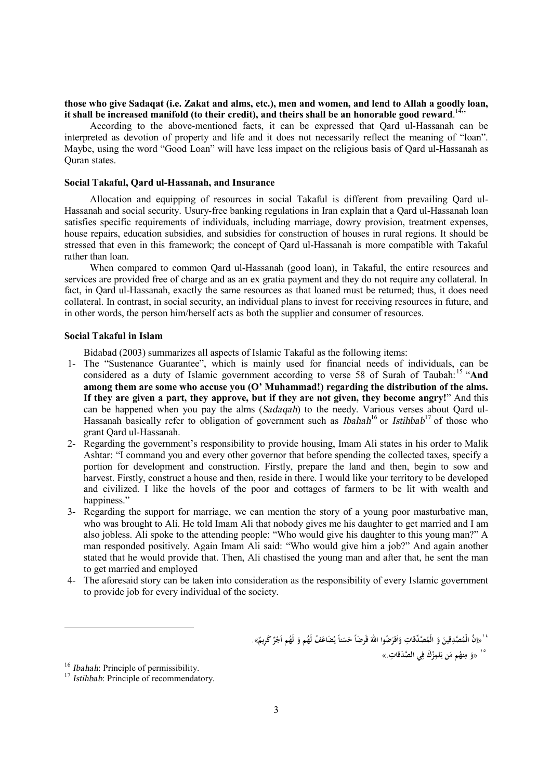## those who give Sadaqat (i.e. Zakat and alms, etc.), men and women, and lend to Allah a goodly loan, **it shall be increased manifold (to their credit), and theirs shall be an honorable good reward**. 14"

According to the above-mentioned facts, it can be expressed that Qard ul-Hassanah can be interpreted as devotion of property and life and it does not necessarily reflect the meaning of "loan". Maybe, using the word "Good Loan" will have less impact on the religious basis of Qard ul-Hassanah as Quran states.

## **Social Takaful, Qard ul-Hassanah, and Insurance**

Allocation and equipping of resources in social Takaful is different from prevailing Qard ul-Hassanah and social security. Usury-free banking regulations in Iran explain that a Qard ul-Hassanah loan satisfies specific requirements of individuals, including marriage, dowry provision, treatment expenses, house repairs, education subsidies, and subsidies for construction of houses in rural regions. It should be stressed that even in this framework; the concept of Qard ul-Hassanah is more compatible with Takaful rather than loan.

When compared to common Qard ul-Hassanah (good loan), in Takaful, the entire resources and services are provided free of charge and as an ex gratia payment and they do not require any collateral. In fact, in Qard ul-Hassanah, exactly the same resources as that loaned must be returned; thus, it does need collateral. In contrast, in social security, an individual plans to invest for receiving resources in future, and in other words, the person him/herself acts as both the supplier and consumer of resources.

## **Social Takaful in Islam**

Bidabad (2003) summarizes all aspects of Islamic Takaful as the following items:

- 1- The "Sustenance Guarantee", which is mainly used for financial needs of individuals, can be considered as a duty of Islamic government according to verse 58 of Surah of Taubah:<sup>15</sup> "**And among them are some who accuse you (O' Muhammad!) regarding the distribution of the alms. If they are given a part, they approve, but if they are not given, they become angry!**" And this can be happened when you pay the alms (*Sadaqah*) to the needy. Various verses about Qard ul-Hassanah basically refer to obligation of government such as *Ibahah*<sup>16</sup> or *Istihbab*<sup>17</sup> of those who grant Qard ul-Hassanah.
- 2- Regarding the government's responsibility to provide housing, Imam Ali states in his order to Malik Ashtar: "I command you and every other governor that before spending the collected taxes, specify a portion for development and construction. Firstly, prepare the land and then, begin to sow and harvest. Firstly, construct a house and then, reside in there. I would like your territory to be developed and civilized. I like the hovels of the poor and cottages of farmers to be lit with wealth and happiness."
- 3- Regarding the support for marriage, we can mention the story of a young poor masturbative man, who was brought to Ali. He told Imam Ali that nobody gives me his daughter to get married and I am also jobless. Ali spoke to the attending people: "Who would give his daughter to this young man?" A man responded positively. Again Imam Ali said: "Who would give him a job?" And again another stated that he would provide that. Then, Ali chastised the young man and after that, he sent the man to get married and employed
- 4- The aforesaid story can be taken into consideration as the responsibility of every Islamic government to provide job for every individual of the society.

ُ ْ `` «اِنَّ الْمُصَّدِقِينَ وَ الْمُصَّدِّقَاتِ وَاَقْرَضُوا اللَّهَ قَرضَاً حَسَناً يُضَاعَفُ لَهُم وَ لَهُم اَجْرٌ كَرِيمٌ». **َ ا َ َ َ ِ ا َ َ** ١٥ **ِت** « **ي ال َّصَدقا َك ف ُ ز لمِ َن ي ُم م ِنه م و** .» **ِ َ َ**

 $\overline{a}$ 

<sup>16</sup> *Ibahah*: Principle of permissibility.

<sup>&</sup>lt;sup>17</sup> *Istihbab*: Principle of recommendatory.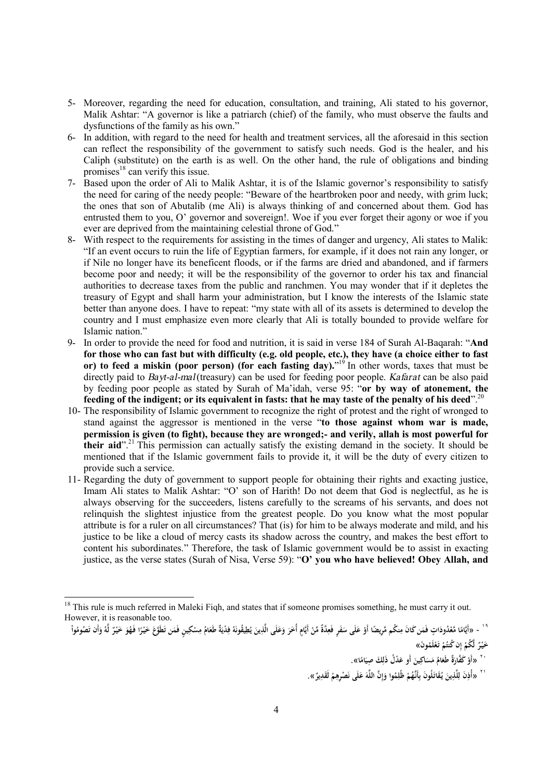- 5- Moreover, regarding the need for education, consultation, and training, Ali stated to his governor, Malik Ashtar: "A governor is like a patriarch (chief) of the family, who must observe the faults and dysfunctions of the family as his own."
- 6- In addition, with regard to the need for health and treatment services, all the aforesaid in this section can reflect the responsibility of the government to satisfy such needs. God is the healer, and his Caliph (substitute) on the earth is as well. On the other hand, the rule of obligations and binding promises $18$  can verify this issue.
- 7- Based upon the order of Ali to Malik Ashtar, it is of the Islamic governor's responsibility to satisfy the need for caring of the needy people: "Beware of the heartbroken poor and needy, with grim luck; the ones that son of Abutalib (me Ali) is always thinking of and concerned about them. God has entrusted them to you, O' governor and sovereign!. Woe if you ever forget their agony or woe if you ever are deprived from the maintaining celestial throne of God."
- 8- With respect to the requirements for assisting in the times of danger and urgency, Ali states to Malik: "If an event occurs to ruin the life of Egyptian farmers, for example, if it does not rain any longer, or if Nile no longer have its beneficent floods, or if the farms are dried and abandoned, and if farmers become poor and needy; it will be the responsibility of the governor to order his tax and financial authorities to decrease taxes from the public and ranchmen. You may wonder that if it depletes the treasury of Egypt and shall harm your administration, but I know the interests of the Islamic state better than anyone does. I have to repeat: "my state with all of its assets is determined to develop the country and I must emphasize even more clearly that Ali is totally bounded to provide welfare for Islamic nation."
- 9- In order to provide the need for food and nutrition, it is said in verse 184 of Surah Al-Baqarah: "**And**  for those who can fast but with difficulty (e.g. old people, etc.), they have (a choice either to fast **or) to feed a miskin (poor person) (for each fasting day).**" <sup>19</sup> In other words, taxes that must be directly paid to *Bayt-al-mal*(treasury) can be used for feeding poor people. *Kafarat* can be also paid by feeding poor people as stated by Surah of Ma'idah, verse 95: "**or by way of atonement, the**  feeding of the indigent; or its equivalent in fasts: that he may taste of the penalty of his deed".<sup>20</sup>
- 10- The responsibility of Islamic government to recognize the right of protest and the right of wronged to stand against the aggressor is mentioned in the verse "**to those against whom war is made, permission is given (to fight), because they are wronged;- and verily, allah is most powerful for their aid**". <sup>21</sup> This permission can actually satisfy the existing demand in the society. It should be mentioned that if the Islamic government fails to provide it, it will be the duty of every citizen to provide such a service.
- 11- Regarding the duty of government to support people for obtaining their rights and exacting justice, Imam Ali states to Malik Ashtar: "O' son of Harith! Do not deem that God is neglectful, as he is always observing for the succeeders, listens carefully to the screams of his servants, and does not relinquish the slightest injustice from the greatest people. Do you know what the most popular attribute is for a ruler on all circumstances? That (is) for him to be always moderate and mild, and his justice to be like a cloud of mercy casts its shadow across the country, and makes the best effort to content his subordinates." Therefore, the task of Islamic government would be to assist in exacting justice, as the verse states (Surah of Nisa, Verse 59): "**O' you who have believed! Obey Allah, and**

 $\overline{a}$ 

حَيْرٌ لَّكُمْ إِن كُنتُمْ تَعْلَمُونَ» **ْ ْ إ ْ ل**

`` «أَوْ كَفَّارَةٌ طَعَامُ مَسَاكِينَ أَو عَدْلُ ذَلِكَ صِيَامًا». **َ ِ َ َ َ ْ**

`` «أَذِنَ لِلَّذِينَ يُقَاتَلُونَ بِأَنَّهُمْ ظُلِمُوا وَإِنَّ اللَّهَ عَلَى نَصْرِهِمْ لَقَدِيرٌ». **ْ ِ َ إ َ ِ ِ َ ِ ِ**

<sup>&</sup>lt;sup>18</sup> This rule is much referred in Maleki Fiqh, and states that if someone promises something, he must carry it out. However, it is reasonable too.

<sup>&</sup>lt;sup>١٩ </sup> - «أَيَّامًا مَّعْدُودَاتٍ فَمَن كَانَ مِنكُم مَّرِيضًا أَوْ عَلَى سَفَرٍ فَعِدَّةٌ مِّنْ أَيَّامٍ أُخَرَ وَعَلَى الَّذِينَ يُطِيقُونَهُ فِدْيَةٌ طَعَامُ مِسْكِينٍ فَمَن تَطَوَّعَ خَيْرًا فَهُوَ خَيْرٌ لَّهُ وَأَن ت **ي َ َ َ َ ْ ِ َ َ ْ ً ِ َ ً ِ َ ِ َ َ ل ْ ً ْ**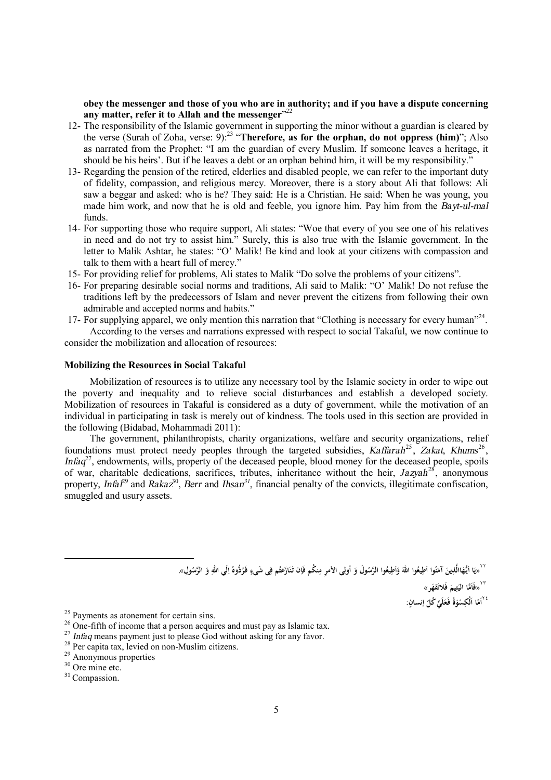**obey the messenger and those of you who are in authority; and if you have a dispute concerning any matter, refer it to Allah and the messenger**" 22

- 12- The responsibility of the Islamic government in supporting the minor without a guardian is cleared by the verse (Surah of Zoha, verse: 9):<sup>23</sup> "**Therefore, as for the orphan, do not oppress (him)**"; Also as narrated from the Prophet: "I am the guardian of every Muslim. If someone leaves a heritage, it should be his heirs'. But if he leaves a debt or an orphan behind him, it will be my responsibility."
- 13- Regarding the pension of the retired, elderlies and disabled people, we can refer to the important duty of fidelity, compassion, and religious mercy. Moreover, there is a story about Ali that follows: Ali saw a beggar and asked: who is he? They said: He is a Christian. He said: When he was young, you made him work, and now that he is old and feeble, you ignore him. Pay him from the *Bayt-ul-mal*  funds.
- 14- For supporting those who require support, Ali states: "Woe that every of you see one of his relatives in need and do not try to assist him." Surely, this is also true with the Islamic government. In the letter to Malik Ashtar, he states: "O' Malik! Be kind and look at your citizens with compassion and talk to them with a heart full of mercy."
- 15- For providing relief for problems, Ali states to Malik "Do solve the problems of your citizens".
- 16- For preparing desirable social norms and traditions, Ali said to Malik: "O' Malik! Do not refuse the traditions left by the predecessors of Islam and never prevent the citizens from following their own admirable and accepted norms and habits."
- 17- For supplying apparel, we only mention this narration that "Clothing is necessary for every human"<sup>24</sup>.

According to the verses and narrations expressed with respect to social Takaful, we now continue to consider the mobilization and allocation of resources:

#### **Mobilizing the Resources in Social Takaful**

Mobilization of resources is to utilize any necessary tool by the Islamic society in order to wipe out the poverty and inequality and to relieve social disturbances and establish a developed society. Mobilization of resources in Takaful is considered as a duty of government, while the motivation of an individual in participating in task is merely out of kindness. The tools used in this section are provided in the following (Bidabad, Mohammadi 2011):

The government, philanthropists, charity organizations, welfare and security organizations, relief foundations must protect needy peoples through the targeted subsidies, *Kaffarah*<sup>25</sup>, *Zakat*, *Khums*<sup>26</sup>, *Infaq*<sup>27</sup>, endowments, wills, property of the deceased people, blood money for the deceased people, spoils of war, charitable dedications, sacrifices, tributes, inheritance without the heir, *Jazyah*<sup>28</sup>, anonymous property, *Infal*<sup>29</sup> and *Rakaz*<sup>30</sup>, *Berr* and *Ihsan*<sup>31</sup>, financial penalty of the convicts, illegitimate confiscation, smuggled and usury assets.

> ``` «يَا اَيُّهَاالَّذِينَ آمَنُوا اَطِيعُوا اللَّهَ وَاَطِيعُوا الرَّسُولَ وَ اُولِى الأَمرِ مِنكُم فَإن تَنَازَعتُم فِى شَىءٍ فَرُدُّوهً اِلَي اللهِ وَ الرَّسُولِ». **َ َ َ ا َ َ ٍ ِ َ َ ِ ِ ا ً**

> > **ََّما** <sup>٢٣</sup> **َ «فَا ِ الي ت قهر» َ يم فَ لات َ َ**

٢٤ **: إنسانٍ ّ ِّ ُكل لَي ةُ َفـع و َلْكِس ا ا ّ َم ا َ َ ْ**

 $\overline{a}$ 

<sup>&</sup>lt;sup>25</sup> Payments as atonement for certain sins.

 $26$  One-fifth of income that a person acquires and must pay as Islamic tax.

<sup>&</sup>lt;sup>27</sup> *Infaq* means payment just to please God without asking for any favor.

 $28$  Per capita tax, levied on non-Muslim citizens.

<sup>&</sup>lt;sup>29</sup> Anonymous properties

<sup>&</sup>lt;sup>30</sup> Ore mine etc.

<sup>&</sup>lt;sup>31</sup> Compassion.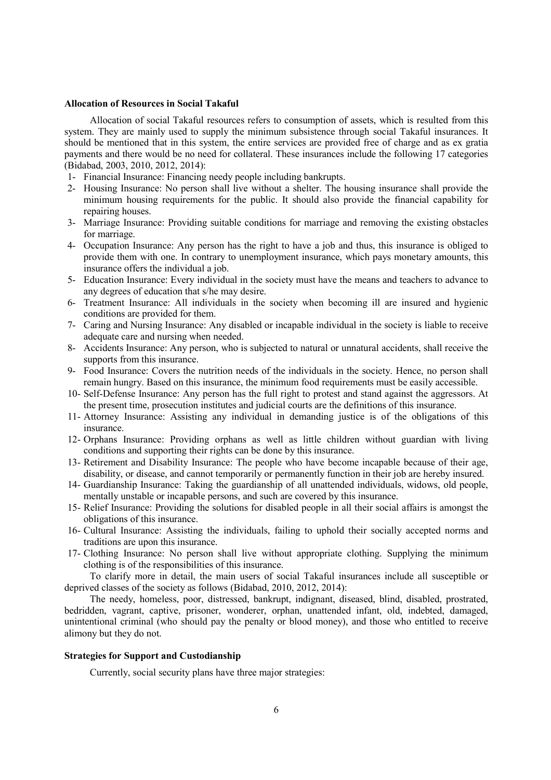#### **Allocation of Resources in Social Takaful**

Allocation of social Takaful resources refers to consumption of assets, which is resulted from this system. They are mainly used to supply the minimum subsistence through social Takaful insurances. It should be mentioned that in this system, the entire services are provided free of charge and as ex gratia payments and there would be no need for collateral. These insurances include the following 17 categories (Bidabad, 2003, 2010, 2012, 2014):

- 1- Financial Insurance: Financing needy people including bankrupts.
- 2- Housing Insurance: No person shall live without a shelter. The housing insurance shall provide the minimum housing requirements for the public. It should also provide the financial capability for repairing houses.
- 3- Marriage Insurance: Providing suitable conditions for marriage and removing the existing obstacles for marriage.
- 4- Occupation Insurance: Any person has the right to have a job and thus, this insurance is obliged to provide them with one. In contrary to unemployment insurance, which pays monetary amounts, this insurance offers the individual a job.
- 5- Education Insurance: Every individual in the society must have the means and teachers to advance to any degrees of education that s/he may desire.
- 6- Treatment Insurance: All individuals in the society when becoming ill are insured and hygienic conditions are provided for them.
- 7- Caring and Nursing Insurance: Any disabled or incapable individual in the society is liable to receive adequate care and nursing when needed.
- 8- Accidents Insurance: Any person, who is subjected to natural or unnatural accidents, shall receive the supports from this insurance.
- 9- Food Insurance: Covers the nutrition needs of the individuals in the society. Hence, no person shall remain hungry. Based on this insurance, the minimum food requirements must be easily accessible.
- 10- Self-Defense Insurance: Any person has the full right to protest and stand against the aggressors. At the present time, prosecution institutes and judicial courts are the definitions of this insurance.
- 11- Attorney Insurance: Assisting any individual in demanding justice is of the obligations of this insurance.
- 12- Orphans Insurance: Providing orphans as well as little children without guardian with living conditions and supporting their rights can be done by this insurance.
- 13- Retirement and Disability Insurance: The people who have become incapable because of their age, disability, or disease, and cannot temporarily or permanently function in their job are hereby insured.
- 14- Guardianship Insurance: Taking the guardianship of all unattended individuals, widows, old people, mentally unstable or incapable persons, and such are covered by this insurance.
- 15- Relief Insurance: Providing the solutions for disabled people in all their social affairs is amongst the obligations of this insurance.
- 16- Cultural Insurance: Assisting the individuals, failing to uphold their socially accepted norms and traditions are upon this insurance.
- 17- Clothing Insurance: No person shall live without appropriate clothing. Supplying the minimum clothing is of the responsibilities of this insurance.

To clarify more in detail, the main users of social Takaful insurances include all susceptible or deprived classes of the society as follows (Bidabad, 2010, 2012, 2014):

The needy, homeless, poor, distressed, bankrupt, indignant, diseased, blind, disabled, prostrated, bedridden, vagrant, captive, prisoner, wonderer, orphan, unattended infant, old, indebted, damaged, unintentional criminal (who should pay the penalty or blood money), and those who entitled to receive alimony but they do not.

# **Strategies for Support and Custodianship**

Currently, social security plans have three major strategies: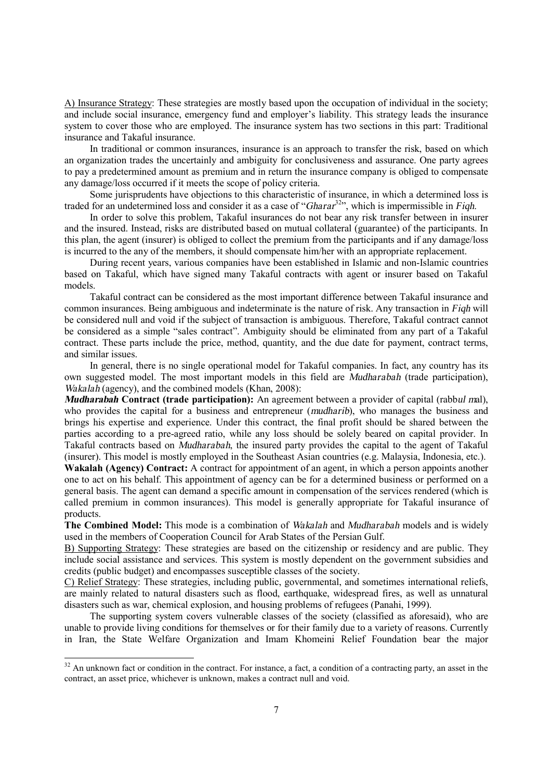A) Insurance Strategy: These strategies are mostly based upon the occupation of individual in the society; and include social insurance, emergency fund and employer's liability. This strategy leads the insurance system to cover those who are employed. The insurance system has two sections in this part: Traditional insurance and Takaful insurance.

In traditional or common insurances, insurance is an approach to transfer the risk, based on which an organization trades the uncertainly and ambiguity for conclusiveness and assurance. One party agrees to pay a predetermined amount as premium and in return the insurance company is obliged to compensate any damage/loss occurred if it meets the scope of policy criteria.

Some jurisprudents have objections to this characteristic of insurance, in which a determined loss is traded for an undetermined loss and consider it as a case of "*Gharar* <sup>32</sup>", which is impermissible in *Fiqh*.

In order to solve this problem, Takaful insurances do not bear any risk transfer between in insurer and the insured. Instead, risks are distributed based on mutual collateral (guarantee) of the participants. In this plan, the agent (insurer) is obliged to collect the premium from the participants and if any damage/loss is incurred to the any of the members, it should compensate him/her with an appropriate replacement.

During recent years, various companies have been established in Islamic and non-Islamic countries based on Takaful, which have signed many Takaful contracts with agent or insurer based on Takaful models.

Takaful contract can be considered as the most important difference between Takaful insurance and common insurances. Being ambiguous and indeterminate is the nature of risk. Any transaction in *Fiqh* will be considered null and void if the subject of transaction is ambiguous. Therefore, Takaful contract cannot be considered as a simple "sales contract". Ambiguity should be eliminated from any part of a Takaful contract. These parts include the price, method, quantity, and the due date for payment, contract terms, and similar issues.

In general, there is no single operational model for Takaful companies. In fact, any country has its own suggested model. The most important models in this field are *Mudharabah* (trade participation), *Wakalah* (agency), and the combined models (Khan, 2008):

*Mudharabah* **Contract (trade participation):** An agreement between a provider of capital (rabb*ul m*al), who provides the capital for a business and entrepreneur (*mudharib*), who manages the business and brings his expertise and experience. Under this contract, the final profit should be shared between the parties according to a pre-agreed ratio, while any loss should be solely beared on capital provider. In Takaful contracts based on *Mudharabah*, the insured party provides the capital to the agent of Takaful (insurer). This model is mostly employed in the Southeast Asian countries (e.g. Malaysia, Indonesia, etc.).

**Wakalah (Agency) Contract:** A contract for appointment of an agent, in which a person appoints another one to act on his behalf. This appointment of agency can be for a determined business or performed on a general basis. The agent can demand a specific amount in compensation of the services rendered (which is called premium in common insurances). This model is generally appropriate for Takaful insurance of products.

**The Combined Model:** This mode is a combination of *Wakalah* and *Mudharabah* models and is widely used in the members of Cooperation Council for Arab States of the Persian Gulf.

B) Supporting Strategy: These strategies are based on the citizenship or residency and are public. They include social assistance and services. This system is mostly dependent on the government subsidies and credits (public budget) and encompasses susceptible classes of the society.

C) Relief Strategy: These strategies, including public, governmental, and sometimes international reliefs, are mainly related to natural disasters such as flood, earthquake, widespread fires, as well as unnatural disasters such as war, chemical explosion, and housing problems of refugees (Panahi, 1999).

The supporting system covers vulnerable classes of the society (classified as aforesaid), who are unable to provide living conditions for themselves or for their family due to a variety of reasons. Currently in Iran, the State Welfare Organization and Imam Khomeini Relief Foundation bear the major

 $\overline{a}$ 

 $32$  An unknown fact or condition in the contract. For instance, a fact, a condition of a contracting party, an asset in the contract, an asset price, whichever is unknown, makes a contract null and void.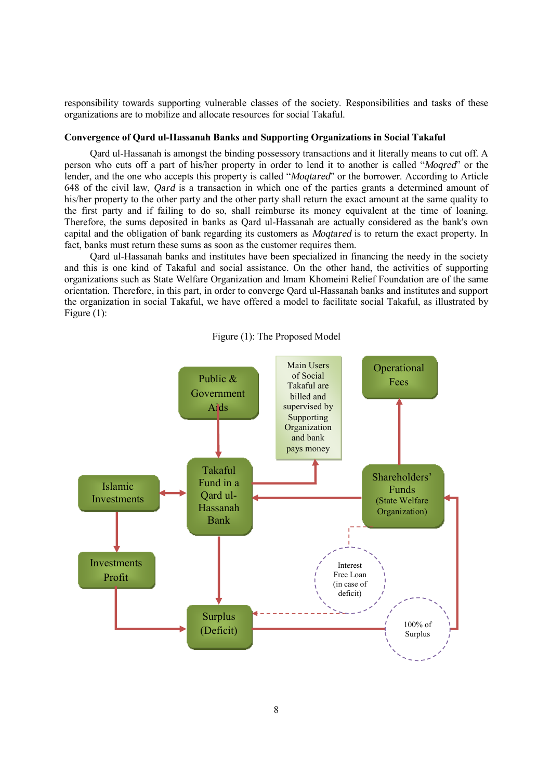responsibility towards supporting vulnerable classes of the society. Responsibilities and tasks of these organizations are to mobilize and allocate resources for social Takaful.

#### **Convergence of Qard ul-Hassanah Banks and Supporting Organizations in Social Takaful**

Qard ul-Hassanah is amongst the binding possessory transactions and it literally means to cut off. A person who cuts off a part of his/her property in order to lend it to another is called "*Moqred*" or the lender, and the one who accepts this property is called "*Moqtared*" or the borrower. According to Article 648 of the civil law, *Qard* is a transaction in which one of the parties grants a determined amount of his/her property to the other party and the other party shall return the exact amount at the same quality to the first party and if failing to do so, shall reimburse its money equivalent at the time of loaning. Therefore, the sums deposited in banks as Qard ul-Hassanah are actually considered as the bank's own capital and the obligation of bank regarding its customers as *Moqtared* is to return the exact property. In fact, banks must return these sums as soon as the customer requires them.

Qard ul-Hassanah banks and institutes have been specialized in financing the needy in the society and this is one kind of Takaful and social assistance. On the other hand, the activities of supporting organizations such as State Welfare Organization and Imam Khomeini Relief Foundation are of the same orientation. Therefore, in this part, in order to converge Qard ul-Hassanah banks and institutes and support the organization in social Takaful, we have offered a model to facilitate social Takaful, as illustrated by Figure (1):